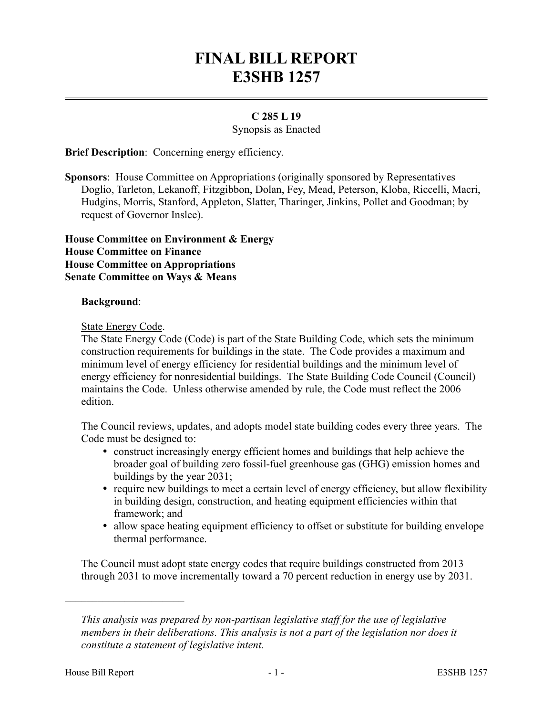# **FINAL BILL REPORT E3SHB 1257**

### **C 285 L 19**

Synopsis as Enacted

**Brief Description:** Concerning energy efficiency.

**Sponsors**: House Committee on Appropriations (originally sponsored by Representatives Doglio, Tarleton, Lekanoff, Fitzgibbon, Dolan, Fey, Mead, Peterson, Kloba, Riccelli, Macri, Hudgins, Morris, Stanford, Appleton, Slatter, Tharinger, Jinkins, Pollet and Goodman; by request of Governor Inslee).

**House Committee on Environment & Energy House Committee on Finance House Committee on Appropriations Senate Committee on Ways & Means**

#### **Background**:

#### State Energy Code.

The State Energy Code (Code) is part of the State Building Code, which sets the minimum construction requirements for buildings in the state. The Code provides a maximum and minimum level of energy efficiency for residential buildings and the minimum level of energy efficiency for nonresidential buildings. The State Building Code Council (Council) maintains the Code. Unless otherwise amended by rule, the Code must reflect the 2006 edition.

The Council reviews, updates, and adopts model state building codes every three years. The Code must be designed to:

- construct increasingly energy efficient homes and buildings that help achieve the broader goal of building zero fossil-fuel greenhouse gas (GHG) emission homes and buildings by the year 2031;
- require new buildings to meet a certain level of energy efficiency, but allow flexibility in building design, construction, and heating equipment efficiencies within that framework; and
- allow space heating equipment efficiency to offset or substitute for building envelope thermal performance.

The Council must adopt state energy codes that require buildings constructed from 2013 through 2031 to move incrementally toward a 70 percent reduction in energy use by 2031.

––––––––––––––––––––––

*This analysis was prepared by non-partisan legislative staff for the use of legislative members in their deliberations. This analysis is not a part of the legislation nor does it constitute a statement of legislative intent.*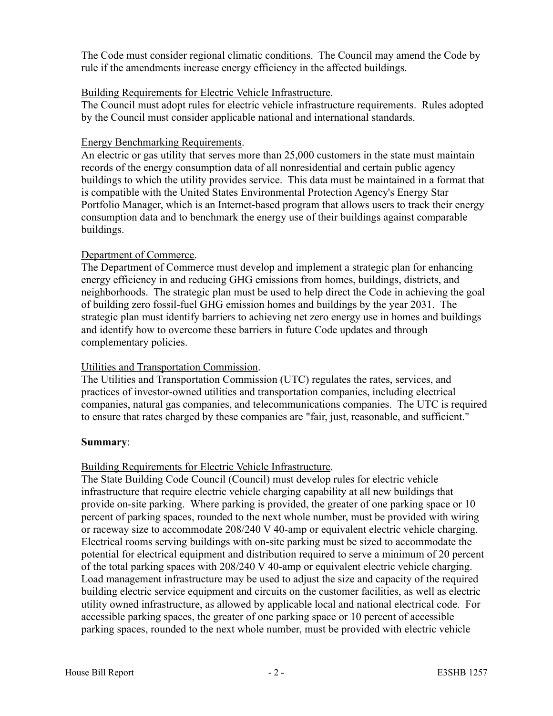The Code must consider regional climatic conditions. The Council may amend the Code by rule if the amendments increase energy efficiency in the affected buildings.

## Building Requirements for Electric Vehicle Infrastructure.

The Council must adopt rules for electric vehicle infrastructure requirements. Rules adopted by the Council must consider applicable national and international standards.

## Energy Benchmarking Requirements.

An electric or gas utility that serves more than 25,000 customers in the state must maintain records of the energy consumption data of all nonresidential and certain public agency buildings to which the utility provides service. This data must be maintained in a format that is compatible with the United States Environmental Protection Agency's Energy Star Portfolio Manager, which is an Internet-based program that allows users to track their energy consumption data and to benchmark the energy use of their buildings against comparable buildings.

# Department of Commerce.

The Department of Commerce must develop and implement a strategic plan for enhancing energy efficiency in and reducing GHG emissions from homes, buildings, districts, and neighborhoods. The strategic plan must be used to help direct the Code in achieving the goal of building zero fossil-fuel GHG emission homes and buildings by the year 2031. The strategic plan must identify barriers to achieving net zero energy use in homes and buildings and identify how to overcome these barriers in future Code updates and through complementary policies.

# Utilities and Transportation Commission.

The Utilities and Transportation Commission (UTC) regulates the rates, services, and practices of investor-owned utilities and transportation companies, including electrical companies, natural gas companies, and telecommunications companies. The UTC is required to ensure that rates charged by these companies are "fair, just, reasonable, and sufficient."

# **Summary**:

# Building Requirements for Electric Vehicle Infrastructure.

The State Building Code Council (Council) must develop rules for electric vehicle infrastructure that require electric vehicle charging capability at all new buildings that provide on-site parking. Where parking is provided, the greater of one parking space or 10 percent of parking spaces, rounded to the next whole number, must be provided with wiring or raceway size to accommodate 208/240 V 40-amp or equivalent electric vehicle charging. Electrical rooms serving buildings with on-site parking must be sized to accommodate the potential for electrical equipment and distribution required to serve a minimum of 20 percent of the total parking spaces with 208/240 V 40-amp or equivalent electric vehicle charging. Load management infrastructure may be used to adjust the size and capacity of the required building electric service equipment and circuits on the customer facilities, as well as electric utility owned infrastructure, as allowed by applicable local and national electrical code. For accessible parking spaces, the greater of one parking space or 10 percent of accessible parking spaces, rounded to the next whole number, must be provided with electric vehicle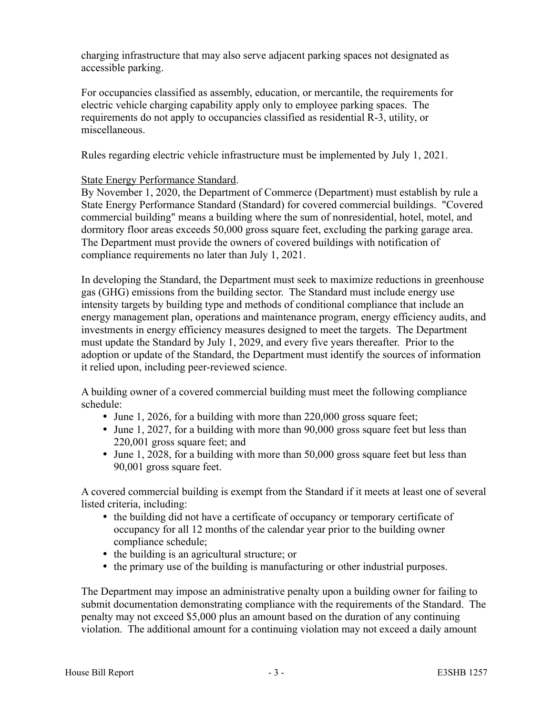charging infrastructure that may also serve adjacent parking spaces not designated as accessible parking.

For occupancies classified as assembly, education, or mercantile, the requirements for electric vehicle charging capability apply only to employee parking spaces. The requirements do not apply to occupancies classified as residential R-3, utility, or miscellaneous.

Rules regarding electric vehicle infrastructure must be implemented by July 1, 2021.

## State Energy Performance Standard.

By November 1, 2020, the Department of Commerce (Department) must establish by rule a State Energy Performance Standard (Standard) for covered commercial buildings. "Covered commercial building" means a building where the sum of nonresidential, hotel, motel, and dormitory floor areas exceeds 50,000 gross square feet, excluding the parking garage area. The Department must provide the owners of covered buildings with notification of compliance requirements no later than July 1, 2021.

In developing the Standard, the Department must seek to maximize reductions in greenhouse gas (GHG) emissions from the building sector. The Standard must include energy use intensity targets by building type and methods of conditional compliance that include an energy management plan, operations and maintenance program, energy efficiency audits, and investments in energy efficiency measures designed to meet the targets. The Department must update the Standard by July 1, 2029, and every five years thereafter. Prior to the adoption or update of the Standard, the Department must identify the sources of information it relied upon, including peer-reviewed science.

A building owner of a covered commercial building must meet the following compliance schedule:

- June 1, 2026, for a building with more than 220,000 gross square feet;
- June 1, 2027, for a building with more than 90,000 gross square feet but less than 220,001 gross square feet; and
- June 1, 2028, for a building with more than 50,000 gross square feet but less than 90,001 gross square feet.

A covered commercial building is exempt from the Standard if it meets at least one of several listed criteria, including:

- the building did not have a certificate of occupancy or temporary certificate of occupancy for all 12 months of the calendar year prior to the building owner compliance schedule;
- the building is an agricultural structure; or
- the primary use of the building is manufacturing or other industrial purposes.

The Department may impose an administrative penalty upon a building owner for failing to submit documentation demonstrating compliance with the requirements of the Standard. The penalty may not exceed \$5,000 plus an amount based on the duration of any continuing violation. The additional amount for a continuing violation may not exceed a daily amount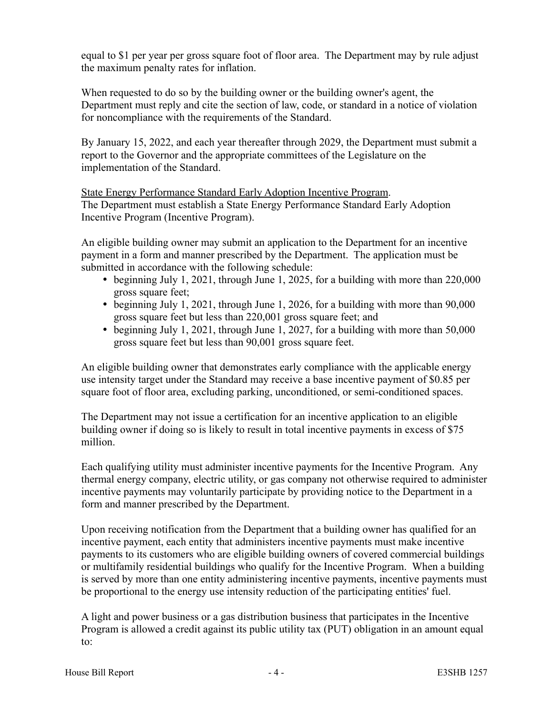equal to \$1 per year per gross square foot of floor area. The Department may by rule adjust the maximum penalty rates for inflation.

When requested to do so by the building owner or the building owner's agent, the Department must reply and cite the section of law, code, or standard in a notice of violation for noncompliance with the requirements of the Standard.

By January 15, 2022, and each year thereafter through 2029, the Department must submit a report to the Governor and the appropriate committees of the Legislature on the implementation of the Standard.

State Energy Performance Standard Early Adoption Incentive Program. The Department must establish a State Energy Performance Standard Early Adoption Incentive Program (Incentive Program).

An eligible building owner may submit an application to the Department for an incentive payment in a form and manner prescribed by the Department. The application must be submitted in accordance with the following schedule:

- beginning July 1, 2021, through June 1, 2025, for a building with more than 220,000 gross square feet;
- beginning July 1, 2021, through June 1, 2026, for a building with more than 90,000 gross square feet but less than 220,001 gross square feet; and
- beginning July 1, 2021, through June 1, 2027, for a building with more than 50,000 gross square feet but less than 90,001 gross square feet.

An eligible building owner that demonstrates early compliance with the applicable energy use intensity target under the Standard may receive a base incentive payment of \$0.85 per square foot of floor area, excluding parking, unconditioned, or semi-conditioned spaces.

The Department may not issue a certification for an incentive application to an eligible building owner if doing so is likely to result in total incentive payments in excess of \$75 million.

Each qualifying utility must administer incentive payments for the Incentive Program. Any thermal energy company, electric utility, or gas company not otherwise required to administer incentive payments may voluntarily participate by providing notice to the Department in a form and manner prescribed by the Department.

Upon receiving notification from the Department that a building owner has qualified for an incentive payment, each entity that administers incentive payments must make incentive payments to its customers who are eligible building owners of covered commercial buildings or multifamily residential buildings who qualify for the Incentive Program. When a building is served by more than one entity administering incentive payments, incentive payments must be proportional to the energy use intensity reduction of the participating entities' fuel.

A light and power business or a gas distribution business that participates in the Incentive Program is allowed a credit against its public utility tax (PUT) obligation in an amount equal to: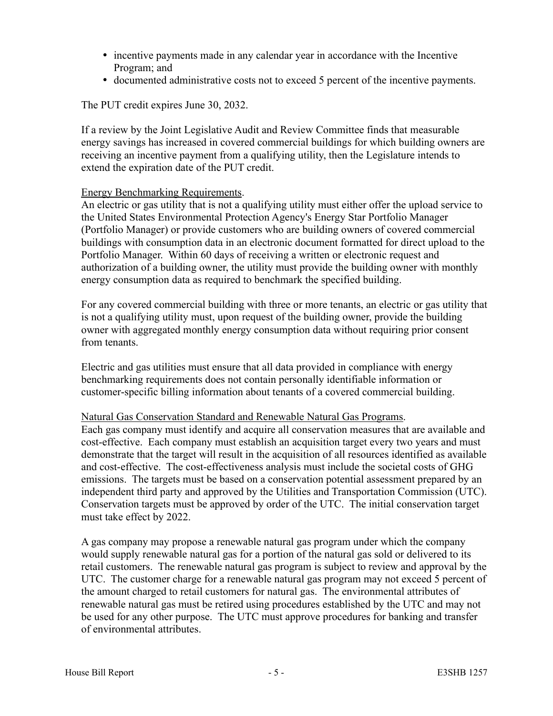- incentive payments made in any calendar year in accordance with the Incentive Program; and
- documented administrative costs not to exceed 5 percent of the incentive payments.

The PUT credit expires June 30, 2032.

If a review by the Joint Legislative Audit and Review Committee finds that measurable energy savings has increased in covered commercial buildings for which building owners are receiving an incentive payment from a qualifying utility, then the Legislature intends to extend the expiration date of the PUT credit.

## Energy Benchmarking Requirements.

An electric or gas utility that is not a qualifying utility must either offer the upload service to the United States Environmental Protection Agency's Energy Star Portfolio Manager (Portfolio Manager) or provide customers who are building owners of covered commercial buildings with consumption data in an electronic document formatted for direct upload to the Portfolio Manager. Within 60 days of receiving a written or electronic request and authorization of a building owner, the utility must provide the building owner with monthly energy consumption data as required to benchmark the specified building.

For any covered commercial building with three or more tenants, an electric or gas utility that is not a qualifying utility must, upon request of the building owner, provide the building owner with aggregated monthly energy consumption data without requiring prior consent from tenants.

Electric and gas utilities must ensure that all data provided in compliance with energy benchmarking requirements does not contain personally identifiable information or customer-specific billing information about tenants of a covered commercial building.

## Natural Gas Conservation Standard and Renewable Natural Gas Programs.

Each gas company must identify and acquire all conservation measures that are available and cost-effective. Each company must establish an acquisition target every two years and must demonstrate that the target will result in the acquisition of all resources identified as available and cost-effective. The cost-effectiveness analysis must include the societal costs of GHG emissions. The targets must be based on a conservation potential assessment prepared by an independent third party and approved by the Utilities and Transportation Commission (UTC). Conservation targets must be approved by order of the UTC. The initial conservation target must take effect by 2022.

A gas company may propose a renewable natural gas program under which the company would supply renewable natural gas for a portion of the natural gas sold or delivered to its retail customers. The renewable natural gas program is subject to review and approval by the UTC. The customer charge for a renewable natural gas program may not exceed 5 percent of the amount charged to retail customers for natural gas. The environmental attributes of renewable natural gas must be retired using procedures established by the UTC and may not be used for any other purpose. The UTC must approve procedures for banking and transfer of environmental attributes.